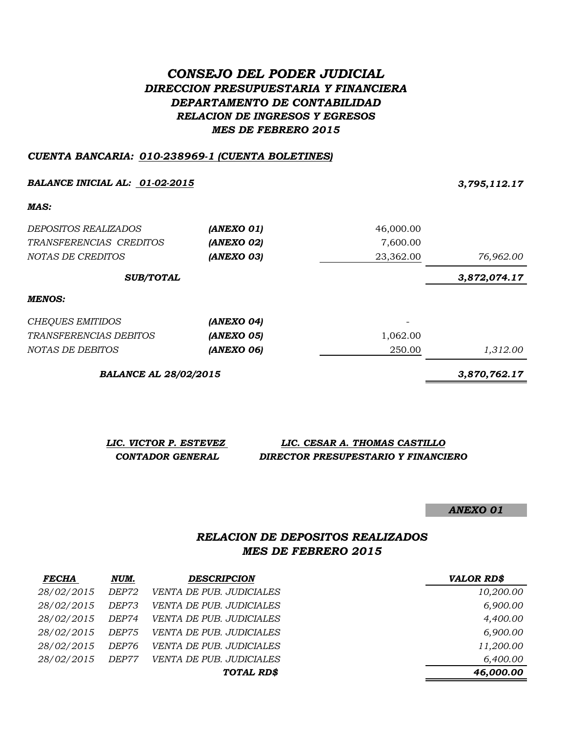## *CONSEJO DEL PODER JUDICIAL DIRECCION PRESUPUESTARIA Y FINANCIERA DEPARTAMENTO DE CONTABILIDAD RELACION DE INGRESOS Y EGRESOS MES DE FEBRERO 2015*

## *CUENTA BANCARIA: 010-238969-1 (CUENTA BOLETINES)*

*BALANCE INICIAL AL: 01-02-2015 3,795,112.17 MAS: DEPOSITOS REALIZADOS (ANEXO 01)* 46,000.00 *TRANSFERENCIAS CREDITOS (ANEXO 02)* 7,600.00 *NOTAS DE CREDITOS (ANEXO 03)* 23,362.00 *76,962.00 3,872,074.17 MENOS: CHEQUES EMITIDOS (ANEXO 04)* - *TRANSFERENCIAS DEBITOS (ANEXO 05)* 1,062.00 *NOTAS DE DEBITOS (ANEXO 06)* 250.00 *1,312.00 SUB/TOTAL* 

*BALANCE AL 28/02/2015 3,870,762.17*

*LIC. VICTOR P. ESTEVEZ LIC. CESAR A. THOMAS CASTILLO CONTADOR GENERAL DIRECTOR PRESUPESTARIO Y FINANCIERO*

*ANEXO 01*

## *RELACION DE DEPOSITOS REALIZADOS MES DE FEBRERO 2015*

| <b>FECHA</b> | NUM.         | <b>DESCRIPCION</b>              | <b>VALOR RD\$</b> |
|--------------|--------------|---------------------------------|-------------------|
| 28/02/2015   | <i>DEP72</i> | <i>VENTA DE PUB. JUDICIALES</i> | 10,200.00         |
| 28/02/2015   | DEP73        | <b>VENTA DE PUB. JUDICIALES</b> | 6,900.00          |
| 28/02/2015   | DEP74        | <i>VENTA DE PUB. JUDICIALES</i> | 4,400.00          |
| 28/02/2015   | <i>DEP75</i> | <b>VENTA DE PUB. JUDICIALES</b> | 6,900.00          |
| 28/02/2015   | DEP76        | <i>VENTA DE PUB. JUDICIALES</i> | 11,200.00         |
| 28/02/2015   | DEP77        | <b>VENTA DE PUB. JUDICIALES</b> | 6,400.00          |
|              |              | TOTAL RD\$                      | 46,000.00         |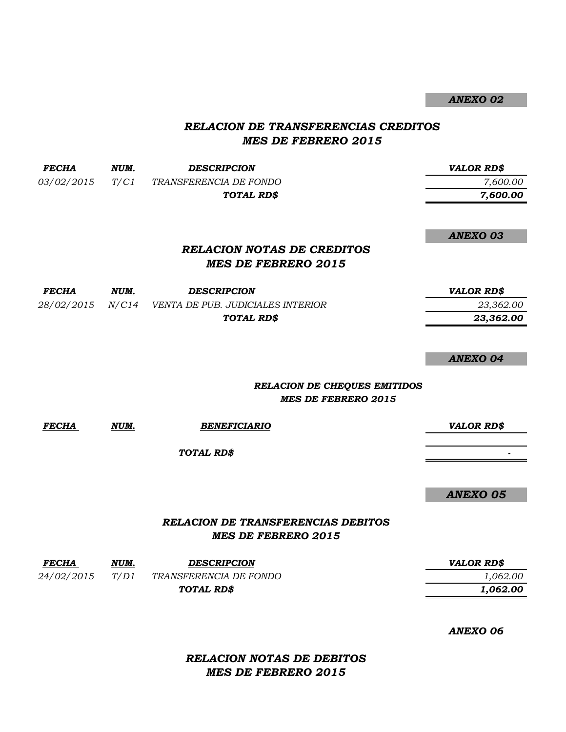*ANEXO 02*

## *RELACION DE TRANSFERENCIAS CREDITOS MES DE FEBRERO 2015*

| <b>FECHA</b> | NUM. | <b>DESCRIPCION</b>                                 | <b>VALOR RD\$</b> |
|--------------|------|----------------------------------------------------|-------------------|
| 03/02/2015   | T/C1 | TRANSFERENCIA DE FONDO                             | 7,600.00          |
|              |      | TOTAL RD\$                                         | 7,600.00          |
|              |      |                                                    | <b>ANEXO 03</b>   |
|              |      | <b>RELACION NOTAS DE CREDITOS</b>                  |                   |
|              |      | <b>MES DE FEBRERO 2015</b>                         |                   |
| <b>FECHA</b> | NUM. | <b>DESCRIPCION</b>                                 | <b>VALOR RD\$</b> |
|              |      | 28/02/2015 N/C14 VENTA DE PUB. JUDICIALES INTERIOR | 23,362.00         |
|              |      | TOTAL RD\$                                         | 23,362.00         |
|              |      |                                                    | <b>ANEXO 04</b>   |
|              |      | <b>RELACION DE CHEQUES EMITIDOS</b>                |                   |
|              |      | <b>MES DE FEBRERO 2015</b>                         |                   |
| <b>FECHA</b> | NUM. | <b>BENEFICIARIO</b>                                | <b>VALOR RD\$</b> |
|              |      | TOTAL RD\$                                         |                   |
|              |      |                                                    | <b>ANEXO 05</b>   |
|              |      | <b>RELACION DE TRANSFERENCIAS DEBITOS</b>          |                   |
|              |      | <b>MES DE FEBRERO 2015</b>                         |                   |
| <b>FECHA</b> | NUM. | <b>DESCRIPCION</b>                                 | <b>VALOR RD\$</b> |
| 24/02/2015   | T/D1 | TRANSFERENCIA DE FONDO                             | 1,062.00          |

*ANEXO 06*

 *1,062.00*

*RELACION NOTAS DE DEBITOS MES DE FEBRERO 2015*

*TOTAL RD\$*